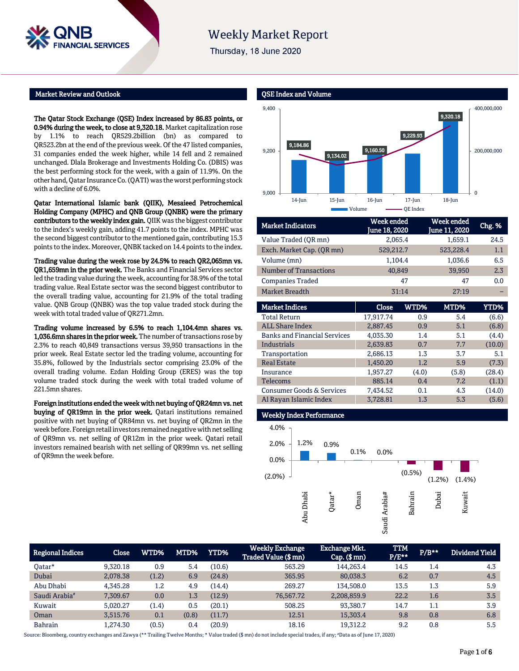

Thursday, 18 June 2020

## Market Review and Outlook

L **SERVICES** 

The Qatar Stock Exchange (QSE) Index increased by 86.83 points, or 0.94% during the week, to close at 9,320.18. Market capitalization rose by 1.1% to reach QR529.2billion (bn) as compared to QR523.2bn at the end of the previous week. Of the 47 listed companies, 31 companies ended the week higher, while 14 fell and 2 remained unchanged. Dlala Brokerage and Investments Holding Co. (DBIS) was the best performing stock for the week, with a gain of 11.9%. On the other hand, Qatar Insurance Co. (QATI) was the worst performing stock with a decline of 6.0%.

Qatar International Islamic bank (QIIK), Mesaieed Petrochemical Holding Company (MPHC) and QNB Group (QNBK) were the primary contributors to the weekly index gain. QIIK was the biggest contributor to the index's weekly gain, adding 41.7 points to the index. MPHC was the second biggest contributor to the mentioned gain, contributing 15.3 points to the index. Moreover, QNBK tacked on 14.4 points to the index.

Trading value during the week rose by 24.5% to reach QR2,065mn vs. QR1,659mn in the prior week. The Banks and Financial Services sector led the trading value during the week, accounting for 38.9% of the total trading value. Real Estate sector was the second biggest contributor to the overall trading value, accounting for 21.9% of the total trading value. QNB Group (QNBK) was the top value traded stock during the week with total traded value of QR271.2mn.

Trading volume increased by 6.5% to reach 1,104.4mn shares vs. 1,036.6mn shares in the prior week. The number of transactions rose by 2.3% to reach 40,849 transactions versus 39,950 transactions in the prior week. Real Estate sector led the trading volume, accounting for 35.8%, followed by the Industrials sector comprising 23.0% of the overall trading volume. Ezdan Holding Group (ERES) was the top volume traded stock during the week with total traded volume of 221.5mn shares.

Foreign institutions ended the week with net buying of QR24mn vs. net buying of QR19mn in the prior week. Qatari institutions remained positive with net buying of QR84mn vs. net buying of QR2mn in the week before. Foreign retail investors remained negative with net selling of QR9mn vs. net selling of QR12m in the prior week. Qatari retail investors remained bearish with net selling of QR99mn vs. net selling of QR9mn the week before.



| <b>Market Indicators</b>            | Week ended<br>June 18, 2020 |       | Week ended<br>une 11, 2020 | Chg. % |
|-------------------------------------|-----------------------------|-------|----------------------------|--------|
| Value Traded (QR mn)                | 2,065.4                     |       | 1,659.1                    | 24.5   |
| Exch. Market Cap. (QR mn)           | 529,212.7                   |       | 523,228.4                  | 1.1    |
| Volume (mn)                         | 1,104.4                     |       | 1,036.6                    | 6.5    |
| <b>Number of Transactions</b>       | 40,849                      |       | 39,950                     | 2.3    |
| <b>Companies Traded</b>             |                             | 47    | 47                         | 0.0    |
| <b>Market Breadth</b>               | 31:14                       |       | 27:19                      |        |
|                                     |                             |       |                            |        |
| <b>Market Indices</b>               | Close                       | WTD%  | MTD%                       | YTD%   |
| <b>Total Return</b>                 | 17.917.74                   | 0.9   | 5.4                        | (6.6)  |
| <b>ALL Share Index</b>              | 2,887.45                    | 0.9   | 5.1                        | (6.8)  |
| <b>Banks and Financial Services</b> | 4,035.30                    | 1.4   | 5.1                        | (4.4)  |
| Industrials                         | 2,639.83                    | 0.7   | 7.7                        | (10.0) |
| Transportation                      | 2,686.13                    | 1.3   | 3.7                        | 5.1    |
| <b>Real Estate</b>                  | 1.450.20                    | 1.2   | 5.9                        | (7.3)  |
| Insurance                           | 1,957.27                    | (4.0) | (5.8)                      | (28.4) |
| Telecoms                            | 885.14                      | 0.4   | 7.2                        | (1.1)  |
| Consumer Goods & Services           | 7,434.52                    | 0.1   | 4.3                        | (14.0) |
| Al Rayan Islamic Index              | 3,728.81                    | 1.3   | 5.3                        | (5.6)  |
|                                     |                             |       |                            |        |

# weekly Index Performance



| <b>Regional Indices</b>   | Close    | WTD%  | MTD%  | YTD%   | <b>Weekly Exchange</b><br>Traded Value (\$ mn) | Exchange Mkt.  <br>$Cap.$ (\$ mn) | <b>TTM</b><br>$P/E***$ | $P/B**$ | Dividend Yield |
|---------------------------|----------|-------|-------|--------|------------------------------------------------|-----------------------------------|------------------------|---------|----------------|
| Oatar*                    | 9.320.18 | 0.9   | 5.4   | (10.6) | 563.29                                         | 144.263.4                         | 14.5                   | 1.4     | 4.3            |
| Dubai                     | 2.078.38 | (1.2) | 6.9   | (24.8) | 365.95                                         | 80,038.3                          | 6.2                    | 0.7     | 4.5            |
| Abu Dhabi                 | 4.345.28 | 1.2   | 4.9   | (14.4) | 269.27                                         | 134.508.0                         | 13.5                   | 1.3     | 5.9            |
| Saudi Arabia <sup>#</sup> | 7,309.67 | 0.0   | 1.3   | (12.9) | 76,567.72                                      | 2,208,859.9                       | 22.2                   | 1.6     | 3.5            |
| Kuwait                    | 5.020.27 | (1.4) | 0.5   | (20.1) | 508.25                                         | 93,380.7                          | 14.7                   | 1.1     | 3.9            |
| Oman                      | 3.515.76 | 0.1   | (0.8) | (11.7) | 12.51                                          | 15,303.4                          | 9.8                    | 0.8     | 6.8            |
| <b>Bahrain</b>            | 1.274.30 | (0.5) | 0.4   | (20.9) | 18.16                                          | 19,312.2                          | 9.2                    | 0.8     | 5.5            |

Source: Bloomberg, country exchanges and Zawya (\*\* Trailing Twelve Months; \* Value traded (\$ mn) do not include special trades, if any; #Data as of June 17, 2020)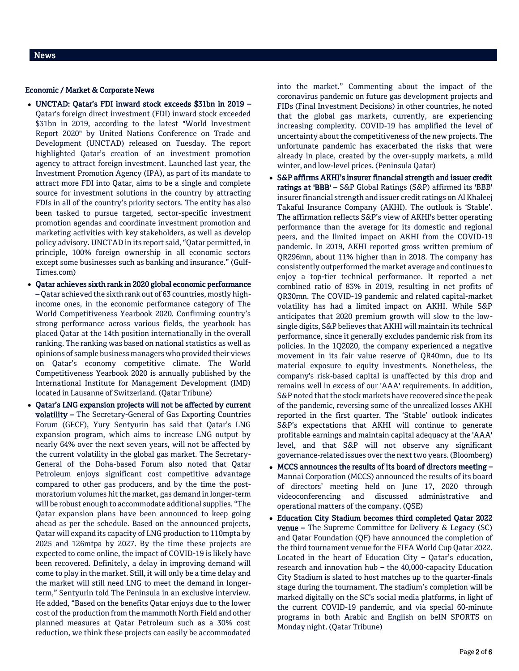### Economic / Market & Corporate News

- UNCTAD: Qatar's FDI inward stock exceeds \$31bn in 2019 Qatar's foreign direct investment (FDI) inward stock exceeded \$31bn in 2019, according to the latest "World Investment Report 2020" by United Nations Conference on Trade and Development (UNCTAD) released on Tuesday. The report highlighted Qatar's creation of an investment promotion agency to attract foreign investment. Launched last year, the Investment Promotion Agency (IPA), as part of its mandate to attract more FDI into Qatar, aims to be a single and complete source for investment solutions in the country by attracting FDIs in all of the country's priority sectors. The entity has also been tasked to pursue targeted, sector-specific investment promotion agendas and coordinate investment promotion and marketing activities with key stakeholders, as well as develop policy advisory. UNCTAD in its report said, "Qatar permitted, in principle, 100% foreign ownership in all economic sectors except some businesses such as banking and insurance." (Gulf-Times.com)
- Qatar achieves sixth rank in 2020 global economic performance – Qatar achieved the sixth rank out of 63 countries, mostly highincome ones, in the economic performance category of The World Competitiveness Yearbook 2020. Confirming country's strong performance across various fields, the yearbook has placed Qatar at the 14th position internationally in the overall ranking. The ranking was based on national statistics as well as opinions of sample business managers who provided their views on Qatar's economy competitive climate. The World Competitiveness Yearbook 2020 is annually published by the International Institute for Management Development (IMD) located in Lausanne of Switzerland. (Qatar Tribune)
- Qatar's LNG expansion projects will not be affected by current volatility – The Secretary-General of Gas Exporting Countries Forum (GECF), Yury Sentyurin has said that Qatar's LNG expansion program, which aims to increase LNG output by nearly 64% over the next seven years, will not be affected by the current volatility in the global gas market. The Secretary-General of the Doha-based Forum also noted that Qatar Petroleum enjoys significant cost competitive advantage compared to other gas producers, and by the time the postmoratorium volumes hit the market, gas demand in longer-term will be robust enough to accommodate additional supplies. "The Qatar expansion plans have been announced to keep going ahead as per the schedule. Based on the announced projects, Qatar will expand its capacity of LNG production to 110mpta by 2025 and 126mtpa by 2027. By the time these projects are expected to come online, the impact of COVID-19 is likely have been recovered. Definitely, a delay in improving demand will come to play in the market. Still, it will only be a time delay and the market will still need LNG to meet the demand in longerterm," Sentyurin told The Peninsula in an exclusive interview. He added, "Based on the benefits Qatar enjoys due to the lower cost of the production from the mammoth North Field and other planned measures at Qatar Petroleum such as a 30% cost reduction, we think these projects can easily be accommodated

into the market." Commenting about the impact of the coronavirus pandemic on future gas development projects and FIDs (Final Investment Decisions) in other countries, he noted that the global gas markets, currently, are experiencing increasing complexity. COVID-19 has amplified the level of uncertainty about the competitiveness of the new projects. The unfortunate pandemic has exacerbated the risks that were already in place, created by the over-supply markets, a mild winter, and low-level prices. (Peninsula Qatar)

- S&P affirms AKHI's insurer financial strength and issuer credit ratings at 'BBB' – S&P Global Ratings (S&P) affirmed its 'BBB' insurer financial strength and issuer credit ratings on Al Khaleej Takaful Insurance Company (AKHI). The outlook is 'Stable'. The affirmation reflects S&P's view of AKHI's better operating performance than the average for its domestic and regional peers, and the limited impact on AKHI from the COVID-19 pandemic. In 2019, AKHI reported gross written premium of QR296mn, about 11% higher than in 2018. The company has consistently outperformed the market average and continues to enjoy a top-tier technical performance. It reported a net combined ratio of 83% in 2019, resulting in net profits of QR30mn. The COVID-19 pandemic and related capital-market volatility has had a limited impact on AKHI. While S&P anticipates that 2020 premium growth will slow to the lowsingle digits, S&P believes that AKHI will maintain its technical performance, since it generally excludes pandemic risk from its policies. In the 1Q2020, the company experienced a negative movement in its fair value reserve of QR40mn, due to its material exposure to equity investments. Nonetheless, the company's risk-based capital is unaffected by this drop and remains well in excess of our 'AAA' requirements. In addition, S&P noted that the stock markets have recovered since the peak of the pandemic, reversing some of the unrealized losses AKHI reported in the first quarter. The 'Stable' outlook indicates S&P's expectations that AKHI will continue to generate profitable earnings and maintain capital adequacy at the 'AAA' level, and that S&P will not observe any significant governance-related issues over the next two years. (Bloomberg)
- MCCS announces the results of its board of directors meeting Mannai Corporation (MCCS) announced the results of its board of directors' meeting held on June 17, 2020 through videoconferencing and discussed administrative and operational matters of the company. (QSE)
- Education City Stadium becomes third completed Qatar 2022 venue – The Supreme Committee for Delivery & Legacy (SC) and Qatar Foundation (QF) have announced the completion of the third tournament venue for the FIFA World Cup Qatar 2022. Located in the heart of Education City  $-$  Qatar's education, research and innovation hub – the 40,000-capacity Education City Stadium is slated to host matches up to the quarter-finals stage during the tournament. The stadium's completion will be marked digitally on the SC's social media platforms, in light of the current COVID-19 pandemic, and via special 60-minute programs in both Arabic and English on beIN SPORTS on Monday night. (Qatar Tribune)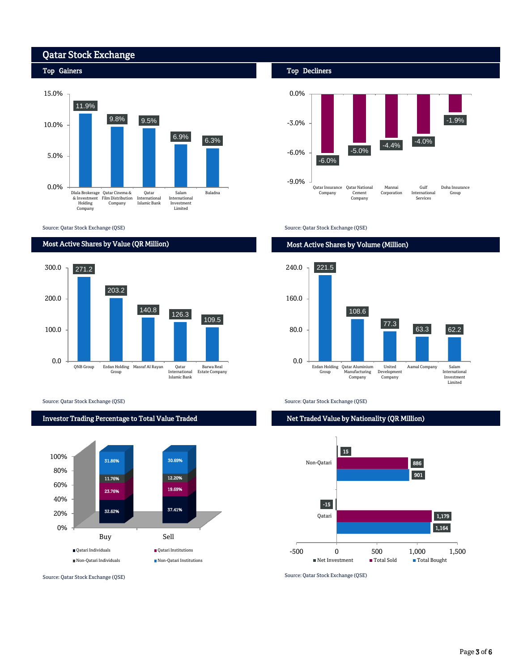# Qatar Stock Exchange



Source: Qatar Stock Exchange (QSE)

# Most Active Shares by Value (QR Million)



Source: Qatar Stock Exchange (QSE) Source: Qatar Stock Exchange (QSE)

## Investor Trading Percentage to Total Value Traded



Source: Qatar Stock Exchange (QSE)

Top Decliners



Source: Qatar Stock Exchange (QSE)

# Most Active Shares by Volume (Million)



Net Traded Value by Nationality (QR Million)



Source: Qatar Stock Exchange (QSE)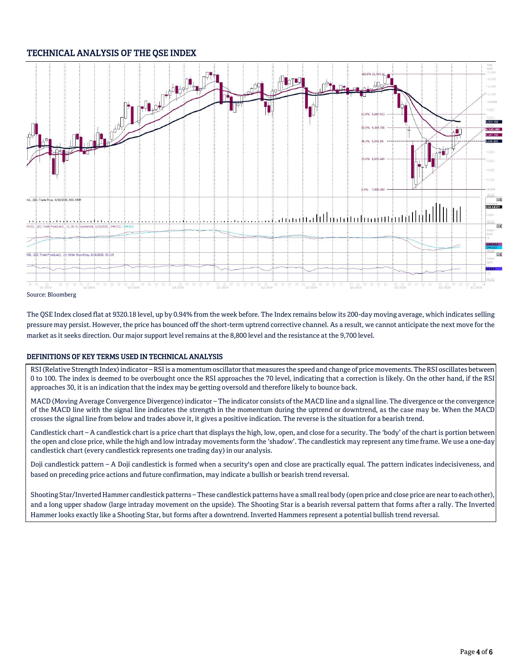# TECHNICAL ANALYSIS OF THE QSE INDEX



The QSE Index closed flat at 9320.18 level, up by 0.94% from the week before. The Index remains below its 200-day moving average, which indicates selling pressure may persist. However, the price has bounced off the short-term uptrend corrective channel. As a result, we cannot anticipate the next move for the market as it seeks direction. Our major support level remains at the 8,800 level and the resistance at the 9,700 level.

# DEFINITIONS OF KEY TERMS USED IN TECHNICAL ANALYSIS

RSI (Relative Strength Index) indicator – RSI is a momentum oscillator that measures the speed and change of price movements. The RSI oscillates between 0 to 100. The index is deemed to be overbought once the RSI approaches the 70 level, indicating that a correction is likely. On the other hand, if the RSI approaches 30, it is an indication that the index may be getting oversold and therefore likely to bounce back.

MACD (Moving Average Convergence Divergence) indicator – The indicator consists of the MACD line and a signal line. The divergence or the convergence of the MACD line with the signal line indicates the strength in the momentum during the uptrend or downtrend, as the case may be. When the MACD crosses the signal line from below and trades above it, it gives a positive indication. The reverse is the situation for a bearish trend.

Candlestick chart – A candlestick chart is a price chart that displays the high, low, open, and close for a security. The 'body' of the chart is portion between the open and close price, while the high and low intraday movements form the 'shadow'. The candlestick may represent any time frame. We use a one-day candlestick chart (every candlestick represents one trading day) in our analysis.

Doji candlestick pattern – A Doji candlestick is formed when a security's open and close are practically equal. The pattern indicates indecisiveness, and based on preceding price actions and future confirmation, may indicate a bullish or bearish trend reversal.

Shooting Star/Inverted Hammer candlestick patterns – These candlestick patterns have a small real body (open price and close price are near to each other), and a long upper shadow (large intraday movement on the upside). The Shooting Star is a bearish reversal pattern that forms after a rally. The Inverted Hammer looks exactly like a Shooting Star, but forms after a downtrend. Inverted Hammers represent a potential bullish trend reversal.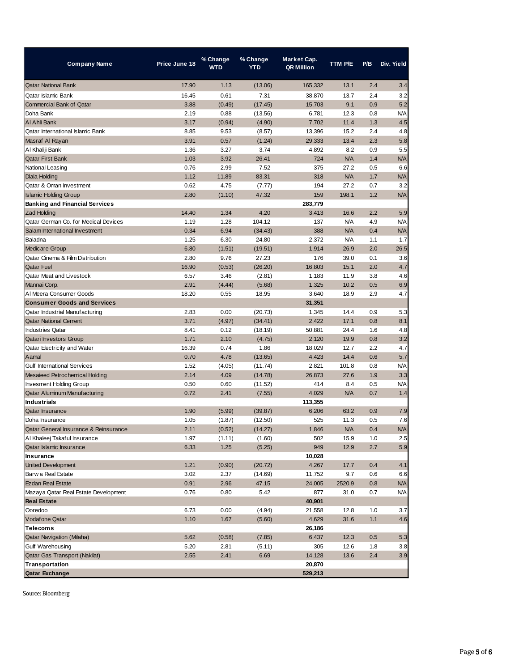| Company Name                          | Price June 18 | % Change<br><b>WTD</b> | % Change<br>YTD | Market Cap.<br><b>QR Million</b> | TTM P/E    | P/B | Div. Yield |
|---------------------------------------|---------------|------------------------|-----------------|----------------------------------|------------|-----|------------|
| <b>Qatar National Bank</b>            | 17.90         | 1.13                   | (13.06)         | 165,332                          | 13.1       | 2.4 | 3.4        |
| Qatar Islamic Bank                    | 16.45         | 0.61                   | 7.31            | 38,870                           | 13.7       | 2.4 | 3.2        |
| <b>Commercial Bank of Qatar</b>       | 3.88          | (0.49)                 | (17.45)         | 15,703                           | 9.1        | 0.9 | 5.2        |
| Doha Bank                             | 2.19          | 0.88                   | (13.56)         | 6,781                            | 12.3       | 0.8 | <b>N/A</b> |
| Al Ahli Bank                          | 3.17          | (0.94)                 | (4.90)          | 7,702                            | 11.4       | 1.3 | 4.5        |
| Qatar International Islamic Bank      | 8.85          | 9.53                   | (8.57)          | 13,396                           | 15.2       | 2.4 | 4.8        |
| Masraf Al Rayan                       | 3.91          | 0.57                   | (1.24)          | 29,333                           | 13.4       | 2.3 | 5.8        |
| Al Khaliji Bank                       | 1.36          | 3.27                   | 3.74            | 4,892                            | 8.2        | 0.9 | 5.5        |
| Qatar First Bank                      | 1.03          | 3.92                   | 26.41           | 724                              | <b>N/A</b> | 1.4 | <b>N/A</b> |
| National Leasing                      | 0.76          | 2.99                   | 7.52            | 375                              | 27.2       | 0.5 | 6.6        |
| Dlala Holding                         | 1.12          | 11.89                  | 83.31           | 318                              | <b>N/A</b> | 1.7 | <b>N/A</b> |
| Qatar & Oman Investment               | 0.62          | 4.75                   | (7.77)          | 194                              | 27.2       | 0.7 | 3.2        |
| <b>Islamic Holding Group</b>          | 2.80          | (1.10)                 | 47.32           | 159                              | 198.1      | 1.2 | <b>N/A</b> |
| <b>Banking and Financial Services</b> |               |                        |                 | 283,779                          |            |     |            |
| <b>Zad Holding</b>                    | 14.40         | 1.34                   | 4.20            | 3,413                            | 16.6       | 2.2 | 5.9        |
| Qatar German Co. for Medical Devices  | 1.19          | 1.28                   | 104.12          | 137                              | <b>N/A</b> | 4.9 | <b>N/A</b> |
| Salam International Investment        | 0.34          | 6.94                   | (34.43)         | 388                              | <b>N/A</b> | 0.4 | <b>N/A</b> |
| Baladna                               | 1.25          | 6.30                   | 24.80           | 2,372                            | N/A        | 1.1 | 1.7        |
| <b>Medicare Group</b>                 | 6.80          | (1.51)                 | (19.51)         | 1,914                            | 26.9       | 2.0 | 26.5       |
| Qatar Cinema & Film Distribution      | 2.80          | 9.76                   | 27.23           | 176                              | 39.0       | 0.1 | 3.6        |
| Qatar Fuel                            | 16.90         | (0.53)                 | (26.20)         | 16,803                           | 15.1       | 2.0 | 4.7        |
| Qatar Meat and Livestock              | 6.57          | 3.46                   | (2.81)          | 1,183                            | 11.9       | 3.8 | 4.6        |
| Mannai Corp.                          | 2.91          | (4.44)                 | (5.68)          | 1,325                            | 10.2       | 0.5 | 6.9        |
| Al Meera Consumer Goods               | 18.20         | 0.55                   | 18.95           | 3,640                            | 18.9       | 2.9 | 4.7        |
| <b>Consumer Goods and Services</b>    |               |                        |                 | 31,351                           |            |     |            |
| Qatar Industrial Manufacturing        | 2.83          | 0.00                   | (20.73)         | 1,345                            | 14.4       | 0.9 | 5.3        |
| <b>Qatar National Cement</b>          | 3.71          | (4.97)                 | (34.41)         | 2,422                            | 17.1       | 0.8 | 8.1        |
| <b>Industries Qatar</b>               | 8.41          | 0.12                   | (18.19)         | 50,881                           | 24.4       | 1.6 | 4.8        |
| Qatari Investors Group                | 1.71          | 2.10                   | (4.75)          | 2,120                            | 19.9       | 0.8 | 3.2        |
| Qatar Electricity and Water           | 16.39         | 0.74                   | 1.86            | 18,029                           | 12.7       | 2.2 | 4.7        |
| Aamal                                 | 0.70          | 4.78                   | (13.65)         | 4,423                            | 14.4       | 0.6 | 5.7        |
| <b>Gulf International Services</b>    | 1.52          | (4.05)                 | (11.74)         | 2,821                            | 101.8      | 0.8 | <b>N/A</b> |
| Mesaieed Petrochemical Holding        | 2.14          | 4.09                   | (14.78)         | 26,873                           | 27.6       | 1.9 | 3.3        |
| <b>Invesment Holding Group</b>        | 0.50          | 0.60                   | (11.52)         | 414                              | 8.4        | 0.5 | <b>N/A</b> |
| Qatar Aluminum Manufacturing          | 0.72          | 2.41                   | (7.55)          | 4,029                            | <b>N/A</b> | 0.7 | 1.4        |
| <b>Industrials</b>                    |               |                        |                 | 113,355                          |            |     |            |
| Qatar Insurance                       | 1.90          | (5.99)                 | (39.87)         | 6,206                            | 63.2       | 0.9 | 7.9        |
| Doha Insurance                        | 1.05          | (1.87)                 | (12.50)         | 525                              | 11.3       | 0.5 | 7.6        |
| Qatar General Insurance & Reinsurance | 2.11          | (0.52)                 | (14.27)         | 1,846                            | N/A        | 0.4 | N/A        |
| Al Khaleej Takaful Insurance          | 1.97          | (1.11)                 | (1.60)          | 502                              | 15.9       | 1.0 | 2.5        |
| Qatar Islamic Insurance               | 6.33          | 1.25                   | (5.25)          | 949                              | 12.9       | 2.7 | 5.9        |
| Insurance                             |               |                        |                 | 10,028                           |            |     |            |
| <b>United Development</b>             | 1.21          | (0.90)                 | (20.72)         | 4,267                            | 17.7       | 0.4 | 4.1        |
| Barw a Real Estate                    | 3.02          | 2.37                   | (14.69)         | 11,752                           | 9.7        | 0.6 | 6.6        |
| <b>Ezdan Real Estate</b>              | 0.91          | 2.96                   | 47.15           | 24,005                           | 2520.9     | 0.8 | <b>N/A</b> |
| Mazaya Qatar Real Estate Development  | 0.76          | 0.80                   | 5.42            | 877                              | 31.0       | 0.7 | <b>N/A</b> |
| <b>Real Estate</b>                    |               |                        |                 | 40,901                           |            |     |            |
| Ooredoo                               | 6.73          | 0.00                   | (4.94)          | 21,558                           | 12.8       | 1.0 | 3.7        |
| Vodafone Qatar                        | 1.10          | 1.67                   | (5.60)          | 4,629                            | 31.6       | 1.1 | 4.6        |
| Telecoms                              |               |                        |                 | 26,186                           |            |     |            |
| Qatar Navigation (Milaha)             | 5.62          | (0.58)                 | (7.85)          | 6,437                            | 12.3       | 0.5 | 5.3        |
| Gulf Warehousing                      | 5.20          | 2.81                   | (5.11)          | 305                              | 12.6       | 1.8 | 3.8        |
| Qatar Gas Transport (Nakilat)         | 2.55          | 2.41                   | 6.69            | 14,128                           | 13.6       | 2.4 | 3.9        |
| Transportation                        |               |                        |                 | 20,870                           |            |     |            |
| <b>Qatar Exchange</b>                 |               |                        |                 | 529,213                          |            |     |            |

Source: Bloomberg